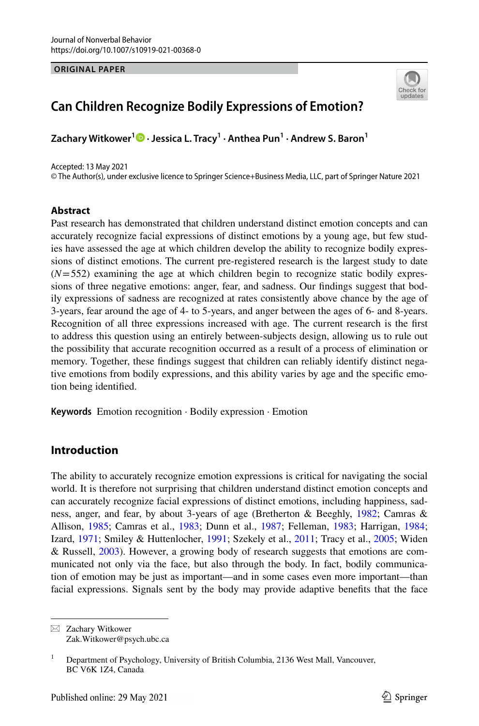**ORIGINAL PAPER**



# **Can Children Recognize Bodily Expressions of Emotion?**

**Zachary Witkower<sup>1</sup>  [·](http://orcid.org/0000-0002-6767-9834) Jessica L. Tracy1 · Anthea Pun1 · Andrew S. Baron1**

Accepted: 13 May 2021 © The Author(s), under exclusive licence to Springer Science+Business Media, LLC, part of Springer Nature 2021

### **Abstract**

Past research has demonstrated that children understand distinct emotion concepts and can accurately recognize facial expressions of distinct emotions by a young age, but few studies have assessed the age at which children develop the ability to recognize bodily expressions of distinct emotions. The current pre-registered research is the largest study to date  $(N=552)$  examining the age at which children begin to recognize static bodily expressions of three negative emotions: anger, fear, and sadness. Our fndings suggest that bodily expressions of sadness are recognized at rates consistently above chance by the age of 3-years, fear around the age of 4- to 5-years, and anger between the ages of 6- and 8-years. Recognition of all three expressions increased with age. The current research is the frst to address this question using an entirely between-subjects design, allowing us to rule out the possibility that accurate recognition occurred as a result of a process of elimination or memory. Together, these fndings suggest that children can reliably identify distinct negative emotions from bodily expressions, and this ability varies by age and the specifc emotion being identifed.

**Keywords** Emotion recognition · Bodily expression · Emotion

## **Introduction**

The ability to accurately recognize emotion expressions is critical for navigating the social world. It is therefore not surprising that children understand distinct emotion concepts and can accurately recognize facial expressions of distinct emotions, including happiness, sadness, anger, and fear, by about 3-years of age (Bretherton & Beeghly, [1982](#page-12-0); Camras & Allison, [1985;](#page-12-1) Camras et al., [1983;](#page-12-2) Dunn et al., [1987](#page-12-3); Felleman, [1983;](#page-12-4) Harrigan, [1984;](#page-12-5) Izard, [1971](#page-12-6); Smiley & Huttenlocher, [1991;](#page-13-0) Szekely et al., [2011](#page-13-1); Tracy et al., [2005](#page-13-2); Widen & Russell, [2003\)](#page-13-3). However, a growing body of research suggests that emotions are communicated not only via the face, but also through the body. In fact, bodily communication of emotion may be just as important—and in some cases even more important—than facial expressions. Signals sent by the body may provide adaptive benefts that the face

 $\boxtimes$  Zachary Witkower Zak.Witkower@psych.ubc.ca

<sup>1</sup> Department of Psychology, University of British Columbia, 2136 West Mall, Vancouver, BC V6K 1Z4, Canada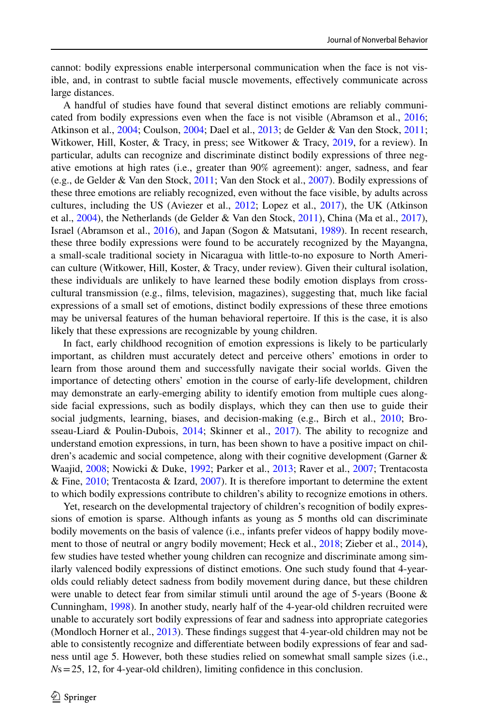cannot: bodily expressions enable interpersonal communication when the face is not visible, and, in contrast to subtle facial muscle movements, efectively communicate across large distances.

A handful of studies have found that several distinct emotions are reliably communicated from bodily expressions even when the face is not visible (Abramson et al., [2016;](#page-12-7) Atkinson et al., [2004;](#page-12-8) Coulson, [2004](#page-12-9); Dael et al., [2013;](#page-12-10) de Gelder & Van den Stock, [2011;](#page-12-11) Witkower, Hill, Koster, & Tracy, in press; see Witkower & Tracy, [2019](#page-13-4), for a review). In particular, adults can recognize and discriminate distinct bodily expressions of three negative emotions at high rates (i.e., greater than 90% agreement): anger, sadness, and fear (e.g., de Gelder & Van den Stock, [2011](#page-12-11); Van den Stock et al., [2007\)](#page-13-5). Bodily expressions of these three emotions are reliably recognized, even without the face visible, by adults across cultures, including the US (Aviezer et al.,  $2012$ ; Lopez et al.,  $2017$ ), the UK (Atkinson et al., [2004](#page-12-8)), the Netherlands (de Gelder & Van den Stock, [2011\)](#page-12-11), China (Ma et al., [2017](#page-12-14)), Israel (Abramson et al., [2016\)](#page-12-7), and Japan (Sogon & Matsutani, [1989](#page-13-6)). In recent research, these three bodily expressions were found to be accurately recognized by the Mayangna, a small-scale traditional society in Nicaragua with little-to-no exposure to North American culture (Witkower, Hill, Koster, & Tracy, under review). Given their cultural isolation, these individuals are unlikely to have learned these bodily emotion displays from crosscultural transmission (e.g., flms, television, magazines), suggesting that, much like facial expressions of a small set of emotions, distinct bodily expressions of these three emotions may be universal features of the human behavioral repertoire. If this is the case, it is also likely that these expressions are recognizable by young children.

In fact, early childhood recognition of emotion expressions is likely to be particularly important, as children must accurately detect and perceive others' emotions in order to learn from those around them and successfully navigate their social worlds. Given the importance of detecting others' emotion in the course of early-life development, children may demonstrate an early-emerging ability to identify emotion from multiple cues alongside facial expressions, such as bodily displays, which they can then use to guide their social judgments, learning, biases, and decision-making (e.g., Birch et al., [2010](#page-12-15); Brosseau-Liard & Poulin-Dubois,  $2014$ ; Skinner et al.,  $2017$ ). The ability to recognize and understand emotion expressions, in turn, has been shown to have a positive impact on children's academic and social competence, along with their cognitive development (Garner & Waajid, [2008;](#page-12-17) Nowicki & Duke, [1992](#page-13-8); Parker et al., [2013](#page-13-9); Raver et al., [2007;](#page-13-10) Trentacosta & Fine, [2010;](#page-13-11) Trentacosta & Izard, [2007\)](#page-13-12). It is therefore important to determine the extent to which bodily expressions contribute to children's ability to recognize emotions in others.

Yet, research on the developmental trajectory of children's recognition of bodily expressions of emotion is sparse. Although infants as young as 5 months old can discriminate bodily movements on the basis of valence (i.e., infants prefer videos of happy bodily move-ment to those of neutral or angry bodily movement; Heck et al., [2018;](#page-12-18) Zieber et al., [2014](#page-13-13)), few studies have tested whether young children can recognize and discriminate among similarly valenced bodily expressions of distinct emotions. One such study found that 4-yearolds could reliably detect sadness from bodily movement during dance, but these children were unable to detect fear from similar stimuli until around the age of 5-years (Boone  $\&$ Cunningham, [1998\)](#page-12-19). In another study, nearly half of the 4-year-old children recruited were unable to accurately sort bodily expressions of fear and sadness into appropriate categories (Mondloch Horner et al., [2013\)](#page-13-14). These fndings suggest that 4-year-old children may not be able to consistently recognize and diferentiate between bodily expressions of fear and sadness until age 5. However, both these studies relied on somewhat small sample sizes (i.e., *N*s=25, 12, for 4-year-old children), limiting confdence in this conclusion.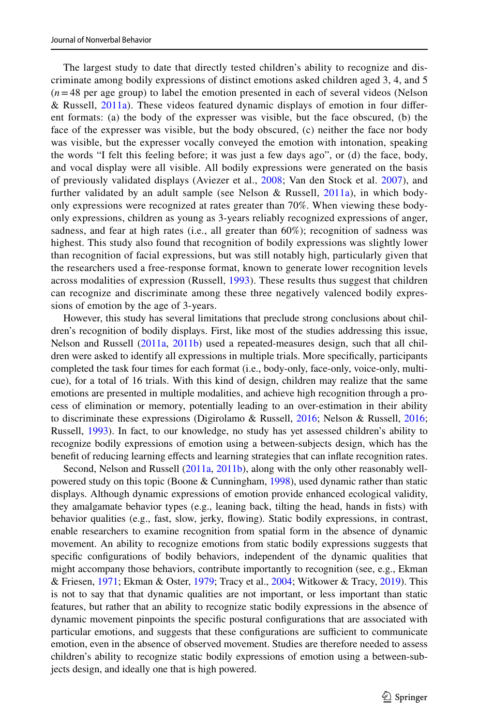The largest study to date that directly tested children's ability to recognize and discriminate among bodily expressions of distinct emotions asked children aged 3, 4, and 5  $(n=48$  per age group) to label the emotion presented in each of several videos (Nelson & Russell, [2011a\)](#page-13-15). These videos featured dynamic displays of emotion in four diferent formats: (a) the body of the expresser was visible, but the face obscured, (b) the face of the expresser was visible, but the body obscured, (c) neither the face nor body was visible, but the expresser vocally conveyed the emotion with intonation, speaking the words "I felt this feeling before; it was just a few days ago", or (d) the face, body, and vocal display were all visible. All bodily expressions were generated on the basis of previously validated displays (Aviezer et al., [2008](#page-12-20); Van den Stock et al. [2007\)](#page-13-5), and further validated by an adult sample (see Nelson & Russell,  $2011a$ ), in which bodyonly expressions were recognized at rates greater than 70%. When viewing these bodyonly expressions, children as young as 3-years reliably recognized expressions of anger, sadness, and fear at high rates (i.e., all greater than 60%); recognition of sadness was highest. This study also found that recognition of bodily expressions was slightly lower than recognition of facial expressions, but was still notably high, particularly given that the researchers used a free-response format, known to generate lower recognition levels across modalities of expression (Russell, [1993](#page-13-16)). These results thus suggest that children can recognize and discriminate among these three negatively valenced bodily expressions of emotion by the age of 3-years.

However, this study has several limitations that preclude strong conclusions about children's recognition of bodily displays. First, like most of the studies addressing this issue, Nelson and Russell [\(2011a,](#page-13-15) [2011b](#page-13-17)) used a repeated-measures design, such that all children were asked to identify all expressions in multiple trials. More specifcally, participants completed the task four times for each format (i.e., body-only, face-only, voice-only, multicue), for a total of 16 trials. With this kind of design, children may realize that the same emotions are presented in multiple modalities, and achieve high recognition through a process of elimination or memory, potentially leading to an over-estimation in their ability to discriminate these expressions (Digirolamo & Russell, [2016](#page-12-21); Nelson & Russell, [2016;](#page-13-18) Russell, [1993](#page-13-16)). In fact, to our knowledge, no study has yet assessed children's ability to recognize bodily expressions of emotion using a between-subjects design, which has the beneft of reducing learning efects and learning strategies that can infate recognition rates.

Second, Nelson and Russell [\(2011a,](#page-13-15) [2011b](#page-13-17)), along with the only other reasonably wellpowered study on this topic (Boone & Cunningham, [1998](#page-12-19)), used dynamic rather than static displays. Although dynamic expressions of emotion provide enhanced ecological validity, they amalgamate behavior types (e.g., leaning back, tilting the head, hands in fsts) with behavior qualities (e.g., fast, slow, jerky, fowing). Static bodily expressions, in contrast, enable researchers to examine recognition from spatial form in the absence of dynamic movement. An ability to recognize emotions from static bodily expressions suggests that specifc confgurations of bodily behaviors, independent of the dynamic qualities that might accompany those behaviors, contribute importantly to recognition (see, e.g., Ekman & Friesen, [1971](#page-12-22); Ekman & Oster, [1979;](#page-12-23) Tracy et al., [2004](#page-13-19); Witkower & Tracy, [2019\)](#page-13-4). This is not to say that that dynamic qualities are not important, or less important than static features, but rather that an ability to recognize static bodily expressions in the absence of dynamic movement pinpoints the specifc postural confgurations that are associated with particular emotions, and suggests that these configurations are sufficient to communicate emotion, even in the absence of observed movement. Studies are therefore needed to assess children's ability to recognize static bodily expressions of emotion using a between-subjects design, and ideally one that is high powered.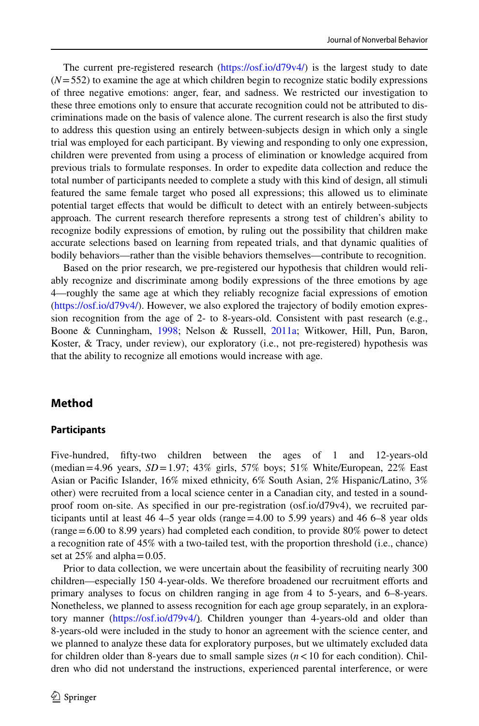The current pre-registered research ([https://osf.io/d79v4/\)](https://osf.io/d79v4/) is the largest study to date  $(N=552)$  to examine the age at which children begin to recognize static bodily expressions of three negative emotions: anger, fear, and sadness. We restricted our investigation to these three emotions only to ensure that accurate recognition could not be attributed to discriminations made on the basis of valence alone. The current research is also the frst study to address this question using an entirely between-subjects design in which only a single trial was employed for each participant. By viewing and responding to only one expression, children were prevented from using a process of elimination or knowledge acquired from previous trials to formulate responses. In order to expedite data collection and reduce the total number of participants needed to complete a study with this kind of design, all stimuli featured the same female target who posed all expressions; this allowed us to eliminate potential target effects that would be difficult to detect with an entirely between-subjects approach. The current research therefore represents a strong test of children's ability to recognize bodily expressions of emotion, by ruling out the possibility that children make accurate selections based on learning from repeated trials, and that dynamic qualities of bodily behaviors—rather than the visible behaviors themselves—contribute to recognition.

Based on the prior research, we pre-registered our hypothesis that children would reliably recognize and discriminate among bodily expressions of the three emotions by age 4—roughly the same age at which they reliably recognize facial expressions of emotion ([https://osf.io/d79v4/\)](https://osf.io/d79v4/). However, we also explored the trajectory of bodily emotion expression recognition from the age of 2- to 8-years-old. Consistent with past research (e.g., Boone & Cunningham, [1998](#page-12-19); Nelson & Russell, [2011a](#page-13-15); Witkower, Hill, Pun, Baron, Koster, & Tracy, under review), our exploratory (i.e., not pre-registered) hypothesis was that the ability to recognize all emotions would increase with age.

### **Method**

### **Participants**

Five-hundred, ffty-two children between the ages of 1 and 12-years-old (median=4.96 years, *SD*=1.97; 43% girls, 57% boys; 51% White/European, 22% East Asian or Pacifc Islander, 16% mixed ethnicity, 6% South Asian, 2% Hispanic/Latino, 3% other) were recruited from a local science center in a Canadian city, and tested in a soundproof room on-site. As specifed in our pre-registration (osf.io/d79v4), we recruited participants until at least  $46, 4-5$  year olds (range= $4.00$  to  $5.99$  years) and  $46, 6-8$  year olds (range=6.00 to 8.99 years) had completed each condition, to provide 80% power to detect a recognition rate of 45% with a two-tailed test, with the proportion threshold (i.e., chance) set at  $25\%$  and alpha $=0.05$ .

Prior to data collection, we were uncertain about the feasibility of recruiting nearly 300 children—especially 150 4-year-olds. We therefore broadened our recruitment efforts and primary analyses to focus on children ranging in age from 4 to 5-years, and 6–8-years. Nonetheless, we planned to assess recognition for each age group separately, in an explora-tory manner [\(https://osf.io/d79v4/](https://osf.io/d79v4/)). Children younger than 4-years-old and older than 8-years-old were included in the study to honor an agreement with the science center, and we planned to analyze these data for exploratory purposes, but we ultimately excluded data for children older than 8-years due to small sample sizes (*n*<10 for each condition). Children who did not understand the instructions, experienced parental interference, or were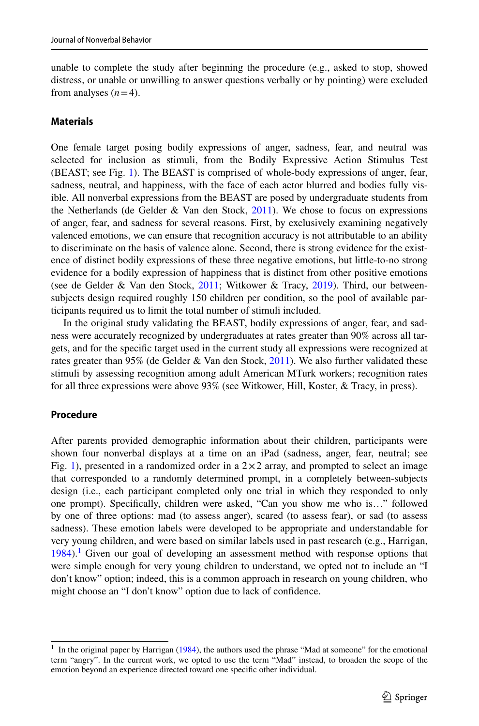unable to complete the study after beginning the procedure (e.g., asked to stop, showed distress, or unable or unwilling to answer questions verbally or by pointing) were excluded from analyses  $(n=4)$ .

### **Materials**

One female target posing bodily expressions of anger, sadness, fear, and neutral was selected for inclusion as stimuli, from the Bodily Expressive Action Stimulus Test (BEAST; see Fig. [1\)](#page-5-0). The BEAST is comprised of whole-body expressions of anger, fear, sadness, neutral, and happiness, with the face of each actor blurred and bodies fully visible. All nonverbal expressions from the BEAST are posed by undergraduate students from the Netherlands (de Gelder & Van den Stock, [2011](#page-12-11)). We chose to focus on expressions of anger, fear, and sadness for several reasons. First, by exclusively examining negatively valenced emotions, we can ensure that recognition accuracy is not attributable to an ability to discriminate on the basis of valence alone. Second, there is strong evidence for the existence of distinct bodily expressions of these three negative emotions, but little-to-no strong evidence for a bodily expression of happiness that is distinct from other positive emotions (see de Gelder & Van den Stock, [2011](#page-12-11); Witkower & Tracy, [2019\)](#page-13-4). Third, our betweensubjects design required roughly 150 children per condition, so the pool of available participants required us to limit the total number of stimuli included.

In the original study validating the BEAST, bodily expressions of anger, fear, and sadness were accurately recognized by undergraduates at rates greater than 90% across all targets, and for the specifc target used in the current study all expressions were recognized at rates greater than 95% (de Gelder & Van den Stock, [2011](#page-12-11)). We also further validated these stimuli by assessing recognition among adult American MTurk workers; recognition rates for all three expressions were above 93% (see Witkower, Hill, Koster, & Tracy, in press).

### **Procedure**

After parents provided demographic information about their children, participants were shown four nonverbal displays at a time on an iPad (sadness, anger, fear, neutral; see Fig. [1](#page-5-0)), presented in a randomized order in a  $2 \times 2$  array, and prompted to select an image that corresponded to a randomly determined prompt, in a completely between-subjects design (i.e., each participant completed only one trial in which they responded to only one prompt). Specifcally, children were asked, "Can you show me who is…" followed by one of three options: mad (to assess anger), scared (to assess fear), or sad (to assess sadness). These emotion labels were developed to be appropriate and understandable for very young children, and were based on similar labels used in past research (e.g., Harrigan,  $1984$ <sup>1</sup>. Given our goal of developing an assessment method with response options that were simple enough for very young children to understand, we opted not to include an "I don't know" option; indeed, this is a common approach in research on young children, who might choose an "I don't know" option due to lack of confdence.

<span id="page-4-0"></span> $1$  In the original paper by Harrigan [\(1984](#page-12-5)), the authors used the phrase "Mad at someone" for the emotional term "angry". In the current work, we opted to use the term "Mad" instead, to broaden the scope of the emotion beyond an experience directed toward one specifc other individual.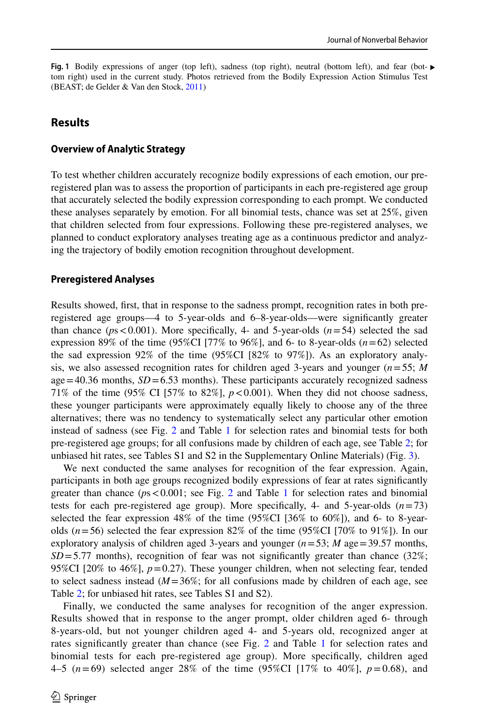<span id="page-5-0"></span>**Fig.** 1 Bodily expressions of anger (top left), sadness (top right), neutral (bottom left), and fear (bot-► tom right) used in the current study. Photos retrieved from the Bodily Expression Action Stimulus Test (BEAST; de Gelder & Van den Stock, [2011](#page-12-11))

### **Results**

#### **Overview of Analytic Strategy**

To test whether children accurately recognize bodily expressions of each emotion, our preregistered plan was to assess the proportion of participants in each pre-registered age group that accurately selected the bodily expression corresponding to each prompt. We conducted these analyses separately by emotion. For all binomial tests, chance was set at 25%, given that children selected from four expressions. Following these pre-registered analyses, we planned to conduct exploratory analyses treating age as a continuous predictor and analyzing the trajectory of bodily emotion recognition throughout development.

#### **Preregistered Analyses**

Results showed, frst, that in response to the sadness prompt, recognition rates in both preregistered age groups—4 to 5-year-olds and 6–8-year-olds—were signifcantly greater than chance ( $ps < 0.001$ ). More specifically, 4- and 5-year-olds ( $n = 54$ ) selected the sad expression 89% of the time (95%CI [77% to 96%], and 6- to 8-year-olds  $(n=62)$  selected the sad expression 92% of the time (95%CI [82% to 97%]). As an exploratory analysis, we also assessed recognition rates for children aged 3-years and younger (*n*=55; *M* age $=40.36$  months,  $SD = 6.53$  months). These participants accurately recognized sadness 71% of the time (95% CI [57% to 82%],  $p < 0.001$ ). When they did not choose sadness, these younger participants were approximately equally likely to choose any of the three alternatives; there was no tendency to systematically select any particular other emotion instead of sadness (see Fig. [2](#page-7-0) and Table [1](#page-8-0) for selection rates and binomial tests for both pre-registered age groups; for all confusions made by children of each age, see Table [2;](#page-9-0) for unbiased hit rates, see Tables S1 and S2 in the Supplementary Online Materials) (Fig. [3\)](#page-7-1).

We next conducted the same analyses for recognition of the fear expression. Again, participants in both age groups recognized bodily expressions of fear at rates signifcantly greater than chance  $(p s < 0.001$ ; see Fig. [2](#page-7-0) and Table [1](#page-8-0) for selection rates and binomial tests for each pre-registered age group). More specifically,  $4-$  and  $5$ -year-olds  $(n=73)$ selected the fear expression 48% of the time (95%CI [36% to 60%]), and 6- to 8-yearolds  $(n=56)$  selected the fear expression 82% of the time (95%CI [70% to 91%]). In our exploratory analysis of children aged 3-years and younger  $(n=53; M$  age = 39.57 months,  $SD = 5.77$  months), recognition of fear was not significantly greater than chance  $(32\%;$ 95%CI [20% to 46%],  $p=0.27$ ). These younger children, when not selecting fear, tended to select sadness instead  $(M=36\%)$ ; for all confusions made by children of each age, see Table [2](#page-9-0); for unbiased hit rates, see Tables S1 and S2).

Finally, we conducted the same analyses for recognition of the anger expression. Results showed that in response to the anger prompt, older children aged 6- through 8-years-old, but not younger children aged 4- and 5-years old, recognized anger at rates significantly greater than chance (see Fig. [2](#page-7-0) and Table [1](#page-8-0) for selection rates and binomial tests for each pre-registered age group). More specifcally, children aged 4–5 (*n*=69) selected anger 28% of the time (95%CI [17% to 40%], *p*=0.68), and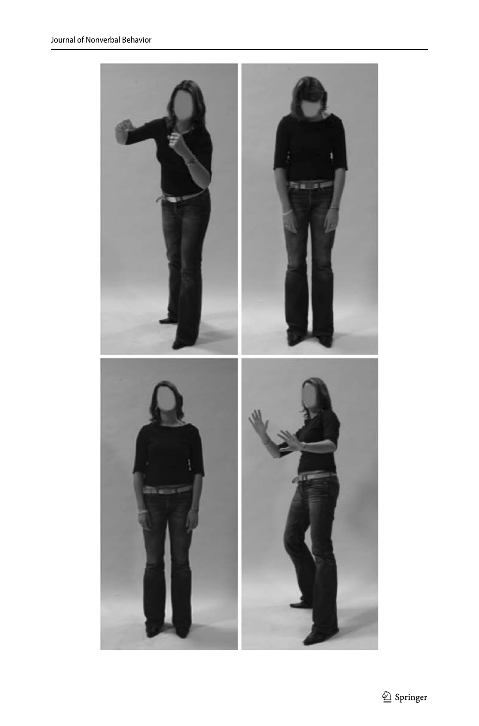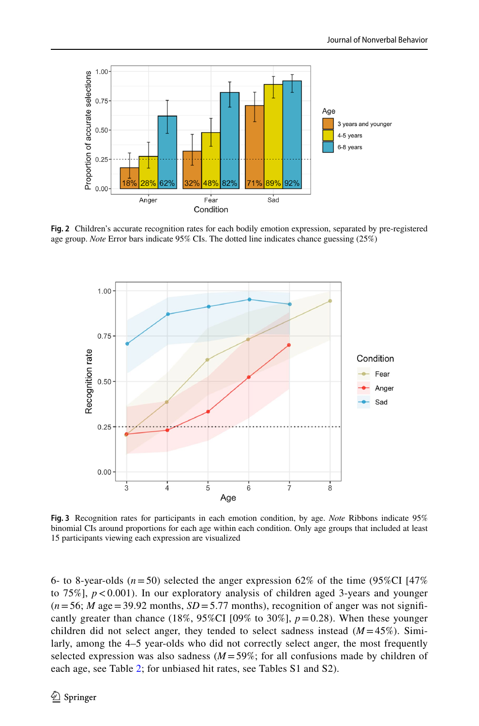

<span id="page-7-0"></span>**Fig. 2** Children's accurate recognition rates for each bodily emotion expression, separated by pre-registered age group. *Note* Error bars indicate 95% CIs. The dotted line indicates chance guessing (25%)



<span id="page-7-1"></span>**Fig. 3** Recognition rates for participants in each emotion condition, by age. *Note* Ribbons indicate 95% binomial CIs around proportions for each age within each condition. Only age groups that included at least 15 participants viewing each expression are visualized

6- to 8-year-olds  $(n=50)$  selected the anger expression 62% of the time (95%CI [47% to  $75\%$ ],  $p < 0.001$ ). In our exploratory analysis of children aged 3-years and younger  $(n=56; M$  age = 39.92 months,  $SD = 5.77$  months), recognition of anger was not significantly greater than chance (18%, 95%CI [09% to 30%],  $p=0.28$ ). When these younger children did not select anger, they tended to select sadness instead  $(M=45\%)$ . Similarly, among the 4–5 year-olds who did not correctly select anger, the most frequently selected expression was also sadness  $(M = 59\%$ ; for all confusions made by children of each age, see Table [2;](#page-9-0) for unbiased hit rates, see Tables S1 and S2).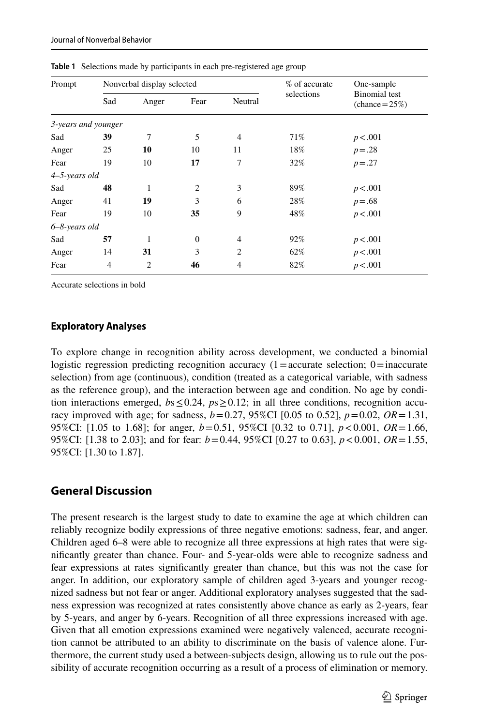| Prompt              |     | Nonverbal display selected |                |                | % of accurate<br>selections | One-sample<br><b>Binomial</b> test<br>$(charce = 25%)$ |
|---------------------|-----|----------------------------|----------------|----------------|-----------------------------|--------------------------------------------------------|
|                     | Sad | Anger                      | Fear           | Neutral        |                             |                                                        |
| 3-years and younger |     |                            |                |                |                             |                                                        |
| Sad                 | 39  | $\overline{7}$             | 5              | $\overline{4}$ | 71%                         | p < .001                                               |
| Anger               | 25  | 10                         | 10             | 11             | 18%                         | $p = .28$                                              |
| Fear                | 19  | 10                         | 17             | 7              | 32%                         | $p = .27$                                              |
| $4-5$ -years old    |     |                            |                |                |                             |                                                        |
| Sad                 | 48  | 1                          | $\overline{2}$ | 3              | 89%                         | p < .001                                               |
| Anger               | 41  | 19                         | 3              | 6              | 28%                         | $p = .68$                                              |
| Fear                | 19  | 10                         | 35             | 9              | 48%                         | p < .001                                               |
| $6 - 8$ -years old  |     |                            |                |                |                             |                                                        |
| Sad                 | 57  | 1                          | $\mathbf{0}$   | $\overline{4}$ | 92%                         | p < .001                                               |
| Anger               | 14  | 31                         | 3              | $\overline{c}$ | 62%                         | p < .001                                               |
| Fear                | 4   | 2                          | 46             | 4              | 82%                         | p < .001                                               |

<span id="page-8-0"></span>**Table 1** Selections made by participants in each pre-registered age group

Accurate selections in bold

#### **Exploratory Analyses**

To explore change in recognition ability across development, we conducted a binomial logistic regression predicting recognition accuracy  $(1 = \text{accurate selection}; 0 = \text{inaccurate})$ selection) from age (continuous), condition (treated as a categorical variable, with sadness as the reference group), and the interaction between age and condition. No age by condition interactions emerged,  $bs \le 0.24$ ,  $ps \ge 0.12$ ; in all three conditions, recognition accuracy improved with age; for sadness, *b*=0.27, 95%CI [0.05 to 0.52], *p*=0.02, *OR*=1.31, 95%CI: [1.05 to 1.68]; for anger, *b*=0.51, 95%CI [0.32 to 0.71], *p*<0.001, *OR*=1.66, 95%CI: [1.38 to 2.03]; and for fear: *b*=0.44, 95%CI [0.27 to 0.63], *p*<0.001, *OR*=1.55, 95%CI: [1.30 to 1.87].

### **General Discussion**

The present research is the largest study to date to examine the age at which children can reliably recognize bodily expressions of three negative emotions: sadness, fear, and anger. Children aged 6–8 were able to recognize all three expressions at high rates that were signifcantly greater than chance. Four- and 5-year-olds were able to recognize sadness and fear expressions at rates signifcantly greater than chance, but this was not the case for anger. In addition, our exploratory sample of children aged 3-years and younger recognized sadness but not fear or anger. Additional exploratory analyses suggested that the sadness expression was recognized at rates consistently above chance as early as 2-years, fear by 5-years, and anger by 6-years. Recognition of all three expressions increased with age. Given that all emotion expressions examined were negatively valenced, accurate recognition cannot be attributed to an ability to discriminate on the basis of valence alone. Furthermore, the current study used a between-subjects design, allowing us to rule out the possibility of accurate recognition occurring as a result of a process of elimination or memory.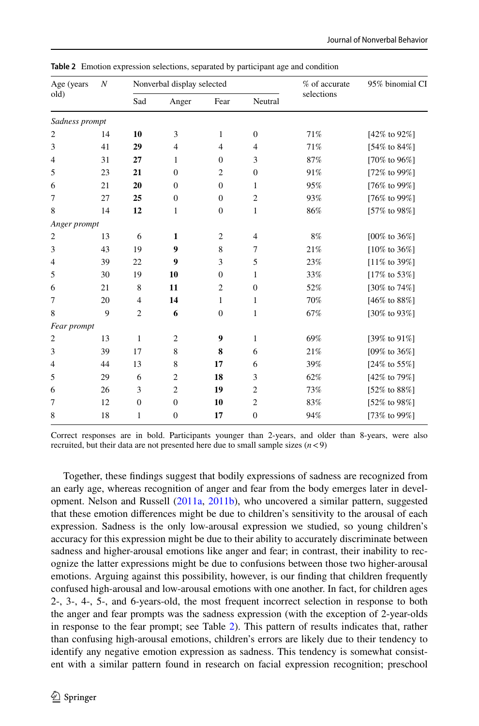| Age (years<br>old) | $\boldsymbol{N}$ |                | Nonverbal display selected |                  | % of accurate  | 95% binomial CI |                           |
|--------------------|------------------|----------------|----------------------------|------------------|----------------|-----------------|---------------------------|
|                    |                  | Sad            | Anger                      | Fear             | Neutral        | selections      |                           |
| Sadness prompt     |                  |                |                            |                  |                |                 |                           |
| $\overline{2}$     | 14               | 10             | 3                          | 1                | $\mathbf{0}$   | 71%             | [42\% to $92\%$ ]         |
| 3                  | 41               | 29             | 4                          | $\overline{4}$   | 4              | 71%             | [54% to 84%]              |
| $\overline{4}$     | 31               | 27             | 1                          | $\mathbf{0}$     | 3              | 87%             | [70% to 96%]              |
| 5                  | 23               | 21             | $\mathbf{0}$               | $\overline{c}$   | $\overline{0}$ | 91%             | [72% to 99%]              |
| 6                  | 21               | 20             | $\boldsymbol{0}$           | $\boldsymbol{0}$ | 1              | 95%             | [76% to 99%]              |
| 7                  | 27               | 25             | $\mathbf{0}$               | $\mathbf{0}$     | $\overline{2}$ | 93%             | [76% to 99%]              |
| 8                  | 14               | 12             | 1                          | $\mathbf{0}$     | 1              | 86%             | [57% to 98%]              |
| Anger prompt       |                  |                |                            |                  |                |                 |                           |
| $\boldsymbol{2}$   | 13               | 6              | $\mathbf{1}$               | $\mathfrak{2}$   | $\overline{4}$ | 8%              | [00% to 36%]              |
| 3                  | 43               | 19             | 9                          | 8                | 7              | 21%             | $[10\% \text{ to } 36\%]$ |
| $\overline{4}$     | 39               | 22             | 9                          | 3                | 5              | 23%             | $[11\% \text{ to } 39\%]$ |
| 5                  | 30               | 19             | 10                         | $\boldsymbol{0}$ | 1              | 33%             | $[17\% \text{ to } 53\%]$ |
| 6                  | 21               | 8              | 11                         | $\overline{2}$   | $\mathbf{0}$   | 52%             | [30% to 74%]              |
| 7                  | 20               | $\overline{4}$ | 14                         | 1                | 1              | 70%             | [46% to 88%]              |
| 8                  | 9                | $\overline{2}$ | 6                          | $\mathbf{0}$     | 1              | 67%             | [30% to 93%]              |
| Fear prompt        |                  |                |                            |                  |                |                 |                           |
| $\mathfrak{2}$     | 13               | $\mathbf{1}$   | $\overline{c}$             | 9                | 1              | 69%             | [39% to 91%]              |
| 3                  | 39               | 17             | 8                          | 8                | 6              | 21%             | [09% to $36\%$ ]          |
| 4                  | 44               | 13             | 8                          | 17               | 6              | 39%             | [24% to 55%]              |
| 5                  | 29               | 6              | $\overline{2}$             | 18               | 3              | 62%             | [42% to 79%]              |
| 6                  | 26               | 3              | $\overline{2}$             | 19               | 2              | 73%             | [52% to 88%]              |
| 7                  | 12               | $\overline{0}$ | $\overline{0}$             | 10               | $\overline{c}$ | 83%             | [52% to 98%]              |
| 8                  | 18               | $\mathbf{1}$   | $\boldsymbol{0}$           | 17               | $\mathbf{0}$   | 94%             | [73% to 99%]              |

<span id="page-9-0"></span>**Table 2** Emotion expression selections, separated by participant age and condition

Correct responses are in bold. Participants younger than 2-years, and older than 8-years, were also recruited, but their data are not presented here due to small sample sizes (*n*<9)

Together, these fndings suggest that bodily expressions of sadness are recognized from an early age, whereas recognition of anger and fear from the body emerges later in development. Nelson and Russell [\(2011a,](#page-13-15) [2011b\)](#page-13-17), who uncovered a similar pattern, suggested that these emotion diferences might be due to children's sensitivity to the arousal of each expression. Sadness is the only low-arousal expression we studied, so young children's accuracy for this expression might be due to their ability to accurately discriminate between sadness and higher-arousal emotions like anger and fear; in contrast, their inability to recognize the latter expressions might be due to confusions between those two higher-arousal emotions. Arguing against this possibility, however, is our fnding that children frequently confused high-arousal and low-arousal emotions with one another. In fact, for children ages 2-, 3-, 4-, 5-, and 6-years-old, the most frequent incorrect selection in response to both the anger and fear prompts was the sadness expression (with the exception of 2-year-olds in response to the fear prompt; see Table [2](#page-9-0)). This pattern of results indicates that, rather than confusing high-arousal emotions, children's errors are likely due to their tendency to identify any negative emotion expression as sadness. This tendency is somewhat consistent with a similar pattern found in research on facial expression recognition; preschool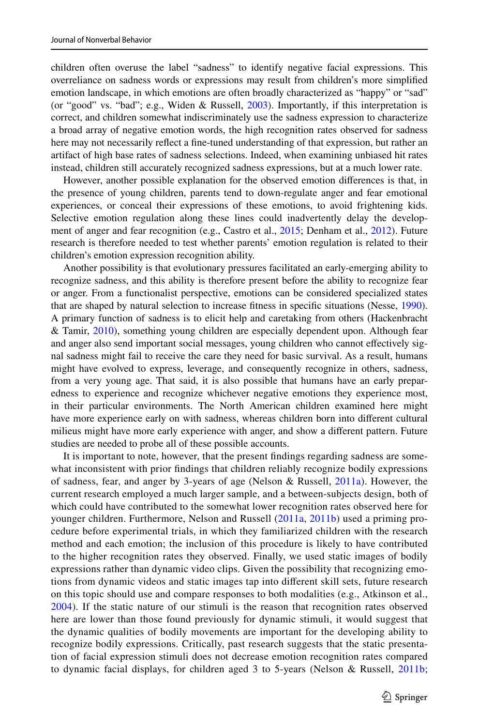children often overuse the label "sadness" to identify negative facial expressions. This overreliance on sadness words or expressions may result from children's more simplifed emotion landscape, in which emotions are often broadly characterized as "happy" or "sad" (or "good" vs. "bad"; e.g., Widen & Russell, [2003\)](#page-13-3). Importantly, if this interpretation is correct, and children somewhat indiscriminately use the sadness expression to characterize a broad array of negative emotion words, the high recognition rates observed for sadness here may not necessarily refect a fne-tuned understanding of that expression, but rather an artifact of high base rates of sadness selections. Indeed, when examining unbiased hit rates instead, children still accurately recognized sadness expressions, but at a much lower rate.

However, another possible explanation for the observed emotion diferences is that, in the presence of young children, parents tend to down-regulate anger and fear emotional experiences, or conceal their expressions of these emotions, to avoid frightening kids. Selective emotion regulation along these lines could inadvertently delay the development of anger and fear recognition (e.g., Castro et al., [2015;](#page-12-24) Denham et al., [2012](#page-12-25)). Future research is therefore needed to test whether parents' emotion regulation is related to their children's emotion expression recognition ability.

Another possibility is that evolutionary pressures facilitated an early-emerging ability to recognize sadness, and this ability is therefore present before the ability to recognize fear or anger. From a functionalist perspective, emotions can be considered specialized states that are shaped by natural selection to increase ftness in specifc situations (Nesse, [1990](#page-13-20)). A primary function of sadness is to elicit help and caretaking from others (Hackenbracht & Tamir, [2010](#page-12-26)), something young children are especially dependent upon. Although fear and anger also send important social messages, young children who cannot efectively signal sadness might fail to receive the care they need for basic survival. As a result, humans might have evolved to express, leverage, and consequently recognize in others, sadness, from a very young age. That said, it is also possible that humans have an early preparedness to experience and recognize whichever negative emotions they experience most, in their particular environments. The North American children examined here might have more experience early on with sadness, whereas children born into diferent cultural milieus might have more early experience with anger, and show a diferent pattern. Future studies are needed to probe all of these possible accounts.

It is important to note, however, that the present fndings regarding sadness are somewhat inconsistent with prior fndings that children reliably recognize bodily expressions of sadness, fear, and anger by 3-years of age (Nelson & Russell, [2011a](#page-13-15)). However, the current research employed a much larger sample, and a between-subjects design, both of which could have contributed to the somewhat lower recognition rates observed here for younger children. Furthermore, Nelson and Russell [\(2011a](#page-13-15), [2011b\)](#page-13-17) used a priming procedure before experimental trials, in which they familiarized children with the research method and each emotion; the inclusion of this procedure is likely to have contributed to the higher recognition rates they observed. Finally, we used static images of bodily expressions rather than dynamic video clips. Given the possibility that recognizing emotions from dynamic videos and static images tap into diferent skill sets, future research on this topic should use and compare responses to both modalities (e.g., Atkinson et al., [2004](#page-12-8)). If the static nature of our stimuli is the reason that recognition rates observed here are lower than those found previously for dynamic stimuli, it would suggest that the dynamic qualities of bodily movements are important for the developing ability to recognize bodily expressions. Critically, past research suggests that the static presentation of facial expression stimuli does not decrease emotion recognition rates compared to dynamic facial displays, for children aged 3 to 5-years (Nelson & Russell, [2011b;](#page-13-17)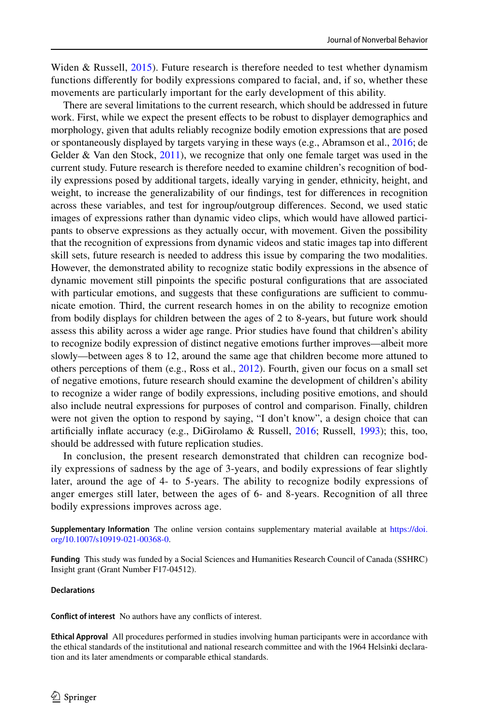Widen & Russell, [2015\)](#page-13-21). Future research is therefore needed to test whether dynamism functions diferently for bodily expressions compared to facial, and, if so, whether these movements are particularly important for the early development of this ability.

There are several limitations to the current research, which should be addressed in future work. First, while we expect the present effects to be robust to displayer demographics and morphology, given that adults reliably recognize bodily emotion expressions that are posed or spontaneously displayed by targets varying in these ways (e.g., Abramson et al., [2016;](#page-12-7) de Gelder & Van den Stock,  $2011$ ), we recognize that only one female target was used in the current study. Future research is therefore needed to examine children's recognition of bodily expressions posed by additional targets, ideally varying in gender, ethnicity, height, and weight, to increase the generalizability of our fndings, test for diferences in recognition across these variables, and test for ingroup/outgroup diferences. Second, we used static images of expressions rather than dynamic video clips, which would have allowed participants to observe expressions as they actually occur, with movement. Given the possibility that the recognition of expressions from dynamic videos and static images tap into diferent skill sets, future research is needed to address this issue by comparing the two modalities. However, the demonstrated ability to recognize static bodily expressions in the absence of dynamic movement still pinpoints the specifc postural confgurations that are associated with particular emotions, and suggests that these configurations are sufficient to communicate emotion. Third, the current research homes in on the ability to recognize emotion from bodily displays for children between the ages of 2 to 8-years, but future work should assess this ability across a wider age range. Prior studies have found that children's ability to recognize bodily expression of distinct negative emotions further improves—albeit more slowly—between ages 8 to 12, around the same age that children become more attuned to others perceptions of them (e.g., Ross et al., [2012](#page-13-22)). Fourth, given our focus on a small set of negative emotions, future research should examine the development of children's ability to recognize a wider range of bodily expressions, including positive emotions, and should also include neutral expressions for purposes of control and comparison. Finally, children were not given the option to respond by saying, "I don't know", a design choice that can artifcially infate accuracy (e.g., DiGirolamo & Russell, [2016](#page-12-21); Russell, [1993\)](#page-13-16); this, too, should be addressed with future replication studies.

In conclusion, the present research demonstrated that children can recognize bodily expressions of sadness by the age of 3-years, and bodily expressions of fear slightly later, around the age of 4- to 5-years. The ability to recognize bodily expressions of anger emerges still later, between the ages of 6- and 8-years. Recognition of all three bodily expressions improves across age.

**Supplementary Information** The online version contains supplementary material available at [https://doi.](https://doi.org/10.1007/s10919-021-00368-0) [org/10.1007/s10919-021-00368-0.](https://doi.org/10.1007/s10919-021-00368-0)

**Funding** This study was funded by a Social Sciences and Humanities Research Council of Canada (SSHRC) Insight grant (Grant Number F17-04512).

#### **Declarations**

**Confict of interest** No authors have any conficts of interest.

**Ethical Approval** All procedures performed in studies involving human participants were in accordance with the ethical standards of the institutional and national research committee and with the 1964 Helsinki declaration and its later amendments or comparable ethical standards.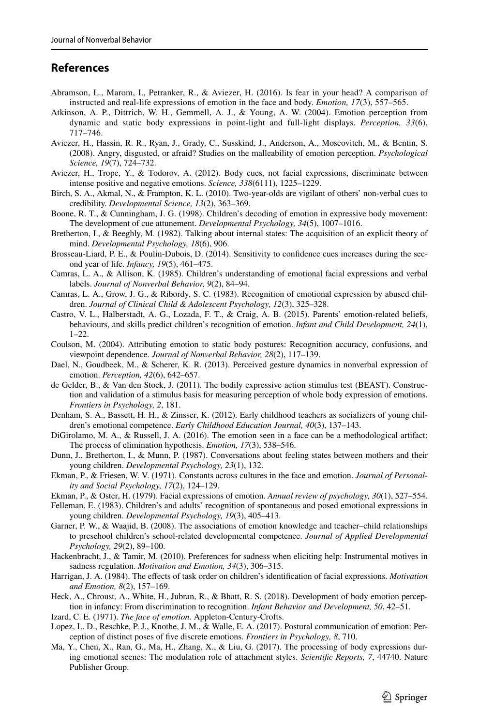### **References**

- <span id="page-12-7"></span>Abramson, L., Marom, I., Petranker, R., & Aviezer, H. (2016). Is fear in your head? A comparison of instructed and real-life expressions of emotion in the face and body. *Emotion, 17*(3), 557–565.
- <span id="page-12-8"></span>Atkinson, A. P., Dittrich, W. H., Gemmell, A. J., & Young, A. W. (2004). Emotion perception from dynamic and static body expressions in point-light and full-light displays. *Perception, 33*(6), 717–746.
- <span id="page-12-20"></span>Aviezer, H., Hassin, R. R., Ryan, J., Grady, C., Susskind, J., Anderson, A., Moscovitch, M., & Bentin, S. (2008). Angry, disgusted, or afraid? Studies on the malleability of emotion perception. *Psychological Science, 19*(7), 724–732.
- <span id="page-12-12"></span>Aviezer, H., Trope, Y., & Todorov, A. (2012). Body cues, not facial expressions, discriminate between intense positive and negative emotions. *Science, 338*(6111), 1225–1229.
- <span id="page-12-15"></span>Birch, S. A., Akmal, N., & Frampton, K. L. (2010). Two-year-olds are vigilant of others' non-verbal cues to credibility. *Developmental Science, 13*(2), 363–369.
- <span id="page-12-19"></span>Boone, R. T., & Cunningham, J. G. (1998). Children's decoding of emotion in expressive body movement: The development of cue attunement. *Developmental Psychology, 34*(5), 1007–1016.
- <span id="page-12-0"></span>Bretherton, I., & Beeghly, M. (1982). Talking about internal states: The acquisition of an explicit theory of mind. *Developmental Psychology, 18*(6), 906.
- <span id="page-12-16"></span>Brosseau-Liard, P. E., & Poulin-Dubois, D. (2014). Sensitivity to confdence cues increases during the second year of life. *Infancy, 19*(5), 461–475.
- <span id="page-12-1"></span>Camras, L. A., & Allison, K. (1985). Children's understanding of emotional facial expressions and verbal labels. *Journal of Nonverbal Behavior, 9*(2), 84–94.
- <span id="page-12-2"></span>Camras, L. A., Grow, J. G., & Ribordy, S. C. (1983). Recognition of emotional expression by abused children. *Journal of Clinical Child & Adolescent Psychology, 12*(3), 325–328.
- <span id="page-12-24"></span>Castro, V. L., Halberstadt, A. G., Lozada, F. T., & Craig, A. B. (2015). Parents' emotion-related beliefs, behaviours, and skills predict children's recognition of emotion. *Infant and Child Development, 24*(1), 1–22.
- <span id="page-12-9"></span>Coulson, M. (2004). Attributing emotion to static body postures: Recognition accuracy, confusions, and viewpoint dependence. *Journal of Nonverbal Behavior, 28*(2), 117–139.
- <span id="page-12-10"></span>Dael, N., Goudbeek, M., & Scherer, K. R. (2013). Perceived gesture dynamics in nonverbal expression of emotion. *Perception, 42*(6), 642–657.
- <span id="page-12-11"></span>de Gelder, B., & Van den Stock, J. (2011). The bodily expressive action stimulus test (BEAST). Construction and validation of a stimulus basis for measuring perception of whole body expression of emotions. *Frontiers in Psychology, 2*, 181.
- <span id="page-12-25"></span>Denham, S. A., Bassett, H. H., & Zinsser, K. (2012). Early childhood teachers as socializers of young children's emotional competence. *Early Childhood Education Journal, 40*(3), 137–143.
- <span id="page-12-21"></span>DiGirolamo, M. A., & Russell, J. A. (2016). The emotion seen in a face can be a methodological artifact: The process of elimination hypothesis. *Emotion, 17*(3), 538–546.
- <span id="page-12-3"></span>Dunn, J., Bretherton, I., & Munn, P. (1987). Conversations about feeling states between mothers and their young children. *Developmental Psychology, 23*(1), 132.
- <span id="page-12-22"></span>Ekman, P., & Friesen, W. V. (1971). Constants across cultures in the face and emotion. *Journal of Personality and Social Psychology, 17*(2), 124–129.
- <span id="page-12-23"></span>Ekman, P., & Oster, H. (1979). Facial expressions of emotion. *Annual review of psychology, 30*(1), 527–554.
- <span id="page-12-4"></span>Felleman, E. (1983). Children's and adults' recognition of spontaneous and posed emotional expressions in young children. *Developmental Psychology, 19*(3), 405–413.
- <span id="page-12-17"></span>Garner, P. W., & Waajid, B. (2008). The associations of emotion knowledge and teacher–child relationships to preschool children's school-related developmental competence. *Journal of Applied Developmental Psychology, 29*(2), 89–100.
- <span id="page-12-26"></span>Hackenbracht, J., & Tamir, M. (2010). Preferences for sadness when eliciting help: Instrumental motives in sadness regulation. *Motivation and Emotion, 34*(3), 306–315.
- <span id="page-12-5"></span>Harrigan, J. A. (1984). The efects of task order on children's identifcation of facial expressions. *Motivation and Emotion, 8*(2), 157–169.
- <span id="page-12-18"></span>Heck, A., Chroust, A., White, H., Jubran, R., & Bhatt, R. S. (2018). Development of body emotion perception in infancy: From discrimination to recognition. *Infant Behavior and Development, 50*, 42–51.
- <span id="page-12-6"></span>Izard, C. E. (1971). *The face of emotion*. Appleton-Century-Crofts.
- <span id="page-12-13"></span>Lopez, L. D., Reschke, P. J., Knothe, J. M., & Walle, E. A. (2017). Postural communication of emotion: Perception of distinct poses of fve discrete emotions. *Frontiers in Psychology, 8*, 710.
- <span id="page-12-14"></span>Ma, Y., Chen, X., Ran, G., Ma, H., Zhang, X., & Liu, G. (2017). The processing of body expressions during emotional scenes: The modulation role of attachment styles. *Scientifc Reports, 7*, 44740. Nature Publisher Group.